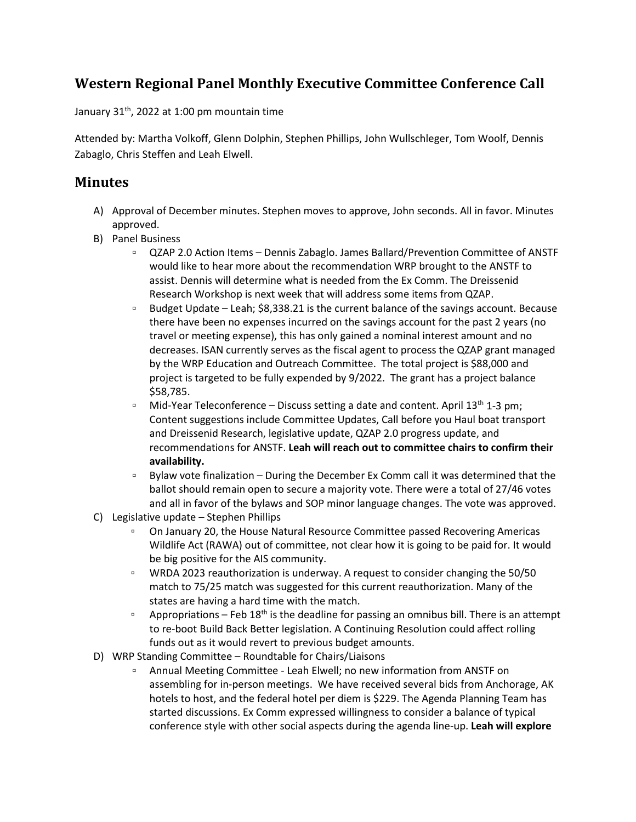## **Western Regional Panel Monthly Executive Committee Conference Call**

January  $31<sup>th</sup>$ , 2022 at 1:00 pm mountain time

Attended by: Martha Volkoff, Glenn Dolphin, Stephen Phillips, John Wullschleger, Tom Woolf, Dennis Zabaglo, Chris Steffen and Leah Elwell.

## **Minutes**

- A) Approval of December minutes. Stephen moves to approve, John seconds. All in favor. Minutes approved.
- B) Panel Business
	- QZAP 2.0 Action Items Dennis Zabaglo. James Ballard/Prevention Committee of ANSTF would like to hear more about the recommendation WRP brought to the ANSTF to assist. Dennis will determine what is needed from the Ex Comm. The Dreissenid Research Workshop is next week that will address some items from QZAP.
	- □ Budget Update Leah; \$8,338.21 is the current balance of the savings account. Because there have been no expenses incurred on the savings account for the past 2 years (no travel or meeting expense), this has only gained a nominal interest amount and no decreases. ISAN currently serves as the fiscal agent to process the QZAP grant managed by the WRP Education and Outreach Committee. The total project is \$88,000 and project is targeted to be fully expended by 9/2022. The grant has a project balance \$58,785.
	- □ Mid-Year Teleconference Discuss setting a date and content. April  $13<sup>th</sup> 1-3$  pm; Content suggestions include Committee Updates, Call before you Haul boat transport and Dreissenid Research, legislative update, QZAP 2.0 progress update, and recommendations for ANSTF. **Leah will reach out to committee chairs to confirm their availability.**
	- Bylaw vote finalization During the December Ex Comm call it was determined that the ballot should remain open to secure a majority vote. There were a total of 27/46 votes and all in favor of the bylaws and SOP minor language changes. The vote was approved.
- C) Legislative update Stephen Phillips
	- On January 20, the House Natural Resource Committee passed Recovering Americas Wildlife Act (RAWA) out of committee, not clear how it is going to be paid for. It would be big positive for the AIS community.
	- WRDA 2023 reauthorization is underway. A request to consider changing the 50/50 match to 75/25 match was suggested for this current reauthorization. Many of the states are having a hard time with the match.
	- Appropriations Feb  $18<sup>th</sup>$  is the deadline for passing an omnibus bill. There is an attempt to re-boot Build Back Better legislation. A Continuing Resolution could affect rolling funds out as it would revert to previous budget amounts.
- D) WRP Standing Committee Roundtable for Chairs/Liaisons
	- Annual Meeting Committee Leah Elwell; no new information from ANSTF on assembling for in-person meetings. We have received several bids from Anchorage, AK hotels to host, and the federal hotel per diem is \$229. The Agenda Planning Team has started discussions. Ex Comm expressed willingness to consider a balance of typical conference style with other social aspects during the agenda line-up. **Leah will explore**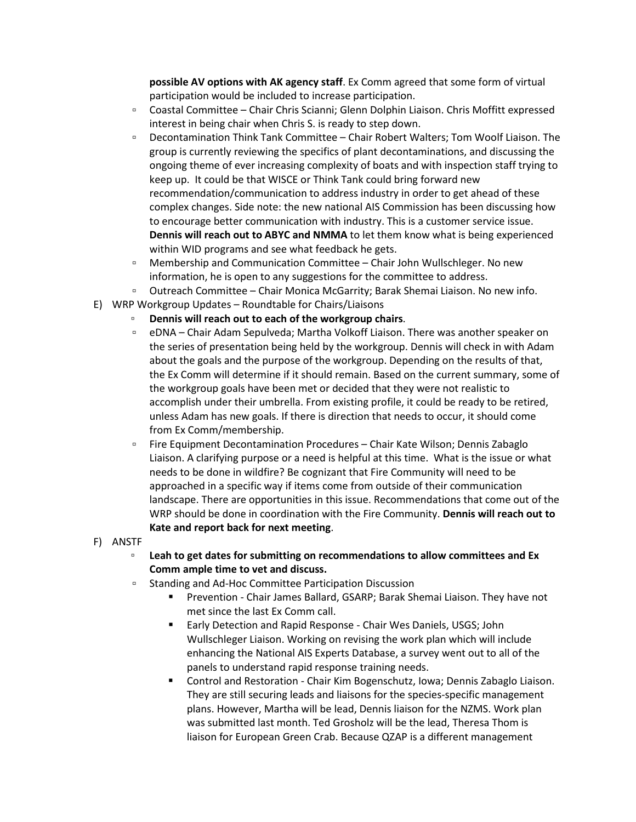**possible AV options with AK agency staff**. Ex Comm agreed that some form of virtual participation would be included to increase participation.

- Coastal Committee Chair Chris Scianni; Glenn Dolphin Liaison. Chris Moffitt expressed interest in being chair when Chris S. is ready to step down.
- Decontamination Think Tank Committee Chair Robert Walters; Tom Woolf Liaison. The group is currently reviewing the specifics of plant decontaminations, and discussing the ongoing theme of ever increasing complexity of boats and with inspection staff trying to keep up. It could be that WISCE or Think Tank could bring forward new recommendation/communication to address industry in order to get ahead of these complex changes. Side note: the new national AIS Commission has been discussing how to encourage better communication with industry. This is a customer service issue. **Dennis will reach out to ABYC and NMMA** to let them know what is being experienced within WID programs and see what feedback he gets.
- □ Membership and Communication Committee Chair John Wullschleger. No new information, he is open to any suggestions for the committee to address.
- Outreach Committee Chair Monica McGarrity; Barak Shemai Liaison. No new info.
- E) WRP Workgroup Updates Roundtable for Chairs/Liaisons
	- **Dennis will reach out to each of the workgroup chairs**.
	- eDNA Chair Adam Sepulveda; Martha Volkoff Liaison. There was another speaker on the series of presentation being held by the workgroup. Dennis will check in with Adam about the goals and the purpose of the workgroup. Depending on the results of that, the Ex Comm will determine if it should remain. Based on the current summary, some of the workgroup goals have been met or decided that they were not realistic to accomplish under their umbrella. From existing profile, it could be ready to be retired, unless Adam has new goals. If there is direction that needs to occur, it should come from Ex Comm/membership.
	- Fire Equipment Decontamination Procedures Chair Kate Wilson; Dennis Zabaglo Liaison. A clarifying purpose or a need is helpful at this time. What is the issue or what needs to be done in wildfire? Be cognizant that Fire Community will need to be approached in a specific way if items come from outside of their communication landscape. There are opportunities in this issue. Recommendations that come out of the WRP should be done in coordination with the Fire Community. **Dennis will reach out to Kate and report back for next meeting**.
- F) ANSTF
	- **Leah to get dates for submitting on recommendations to allow committees and Ex Comm ample time to vet and discuss.**
	- Standing and Ad-Hoc Committee Participation Discussion
		- Prevention Chair James Ballard, GSARP; Barak Shemai Liaison. They have not met since the last Ex Comm call.
		- Early Detection and Rapid Response Chair Wes Daniels, USGS; John Wullschleger Liaison. Working on revising the work plan which will include enhancing the National AIS Experts Database, a survey went out to all of the panels to understand rapid response training needs.
		- Control and Restoration Chair Kim Bogenschutz, Iowa; Dennis Zabaglo Liaison. They are still securing leads and liaisons for the species-specific management plans. However, Martha will be lead, Dennis liaison for the NZMS. Work plan was submitted last month. Ted Grosholz will be the lead, Theresa Thom is liaison for European Green Crab. Because QZAP is a different management